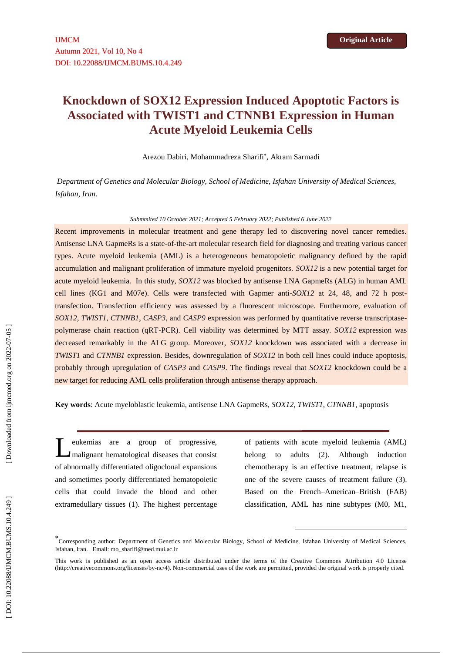# **Knockdown of SOX12 Expression Induced Apoptotic Factors is Associated with TWIST1 and CTNNB1 Expression in Human Acute Myeloid Leukemia Cells**

Arezou Dabiri, Mohammadreza Sharifi , Akram Sarmadi

*Department of Genetics and Molecular Biology, School of Medicine, Isfahan University of Medical Sciences, Isfahan, Iran .*

#### *Submmited 10 October 2021; Accepted 5 February 2022; Published 6 June 2022*

Recent improvements in molecular treatment and gene therapy led to discovering novel cancer remedies. Antisense LNA GapmeRs is a state-of-the-art molecular research field for diagnosing and treating various cancer types. Acute myeloid leukemia (AML) is a heterogeneous hematopoietic malignancy defined by the rapid accumulation and malignant proliferation of immature myeloid progenitors. *SOX12* is a new potential target for acute myeloid leukemia. In this study, *SOX12* was blocked by antisense LNA GapmeRs (ALG) in human AML cell lines (KG1 and M07e). Cells were trans fected with Gapmer anti -*SOX12* at 24, 48, and 72 h post transfection. Transfection efficiency was assessed by a fluorescent microscope. Furthermore, evaluation of SOX12, *TWIST1*, *CTNNB1*, *CASP3*, and *CASP9* expression was performed by quantitative reverse transcriptasepolymerase chain reaction (qRT -PCR). Cell viability was determined by MTT assay. *SOX12* expression was decreased remarkably in the ALG group. Moreover, *SOX12* knockdown was associated with a decrease in *TWIST1* and *CTNNB1* expression. Besides, downregulation of *SOX12* in both cell lines could induce apoptosis, probably through upregulation of *CASP3* and *CASP9*. The findings reveal that *SOX12* knockdown could be a new target for reducing AML cells proliferation through antisense therapy approach.

Key words: Acute myeloblastic leukemia, antisense LNA GapmeRs, *SOX12*, *TWIST1*, *CTNNB1*, apoptosis

eukemias are a group of progressive, malignant hematological diseases that consist of abnormally differentiated oligoclonal expansions and sometimes poorly differentiated hematopoietic cells that could invade the blood and other extramedullary tissues (1). The highest percentage L

of patients with acute myeloid leukemia (AML) belong to adults (2). Although induction chemotherapy is an effective treatment, relapse is one of the severe causes of treatment failure (3). Based on the French –American –British (FAB) classification, AML has nine subtypes (M0, M1,

**.** 

Corresponding author : Department of Genetics and Molecular Biology, School of Medicine, Isfahan University of Medical Sciences, Isfahan, Iran. Email: [mo\\_sharifi@med.mui.ac.ir](mailto:mo_sharifi@med.mui.ac.ir)

This work is published as an open access article distributed under the terms of the Creative Commons Attribution 4.0 License [\(http://creativecommons.org/licenses/by-nc/4\)](http://creativecommons.org/licenses/by-nc/4). Non-commercial uses of the work are permitted, pro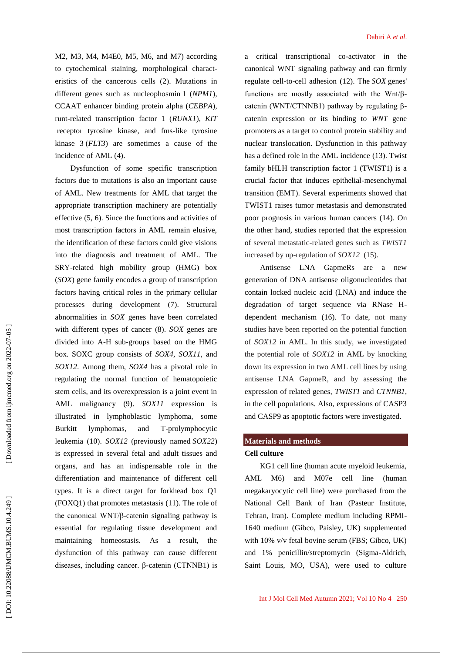M2, M3, M4, M4E0, M5, M6, and M7) according to cytochemical staining, morphological charact eristics of the cancerous cells (2). Mutations in different genes such as nucleophosmin 1 (*NPM1*), CCAAT enhancer binding protein alpha (*CEBPA*), runt -related transcription factor 1 (*RUNX1*), *KIT* receptor tyrosine kinase, and fms -like tyrosine kinase 3 (*FLT3*) are sometimes a cause of the incidence of AML (4) .

Dysfunction of some specific transcription factors due to mutations is also an important cause of AML. New treatments for AML that target the appropriate transcription machinery are potentially effective (5, 6). Since the functions and activities of most transcription factors in AML remain elusive, the identification of these factors could give visions into the diagnosis and treatment of AML. The SRY -related high mobility group (HMG) box (*SOX*) gene family encodes a group of transcription factors having critical roles in the primary cellular processes during development (7). Structural abnormalities in *SOX* genes have been correlated with different types of cancer (8). *SOX* genes are divided into A -H sub -groups based on the HMG box. SOXC group consists of *SOX4*, *SOX11*, and *SOX12*. Among them, *SOX4* has a pivotal role in regulating the normal function of [hematopoietic](https://www.sciencedirect.com/topics/biochemistry-genetics-and-molecular-biology/hematopoietic-stem-cells)  [stem cells,](https://www.sciencedirect.com/topics/biochemistry-genetics-and-molecular-biology/hematopoietic-stem-cells) and its overexpression is a joint event in AML malignancy (9). *SOX11* expression is illustrated in lymphoblastic lymphoma, some Burkitt lymphomas, and -prolymphocytic leukemia (10). *SOX12* (previously named *SOX22*) is expressed in several fetal and adult tissues and organs, and has an indispensable role in the differentiation and maintenance of different cell types. It is a direct target for forkhead box Q1 (FOXQ1) that promotes metastasis (11). The role of the canonical WNT/β -catenin signaling pathway is essential for regulating tissue development and maintaining homeostasis. As a result, the dysfunction of this pathway can cause different diseases, including cancer. β -catenin (CTNNB1) is

a critical transcriptional co -activator in the canonical WNT signaling pathway and can firmly regulate cell -to -cell adhesion (12). The *SOX* genes' functions are mostly associated with the Wnt/β catenin (WNT/CTNNB1) pathway by regulating β catenin expression or its binding to *WNT* gene promoters as a target to control protein stability and nuclear translocation. Dysfunction in this pathway has a defined role in the AML incidence (13). Twist family bHLH transcription factor 1 (TWIST1) is a crucial factor that induces epithelial -mesenchymal transition (EMT). Several experiments showed that TWIST1 raises tumor metastasis and demonstrated poor prognosis in various human cancers (14). On the other hand, studies reported that the expression of several metastatic -related genes such as *TWIST1*  increased by up-regulation of *SOX12* (15).

Antisense LNA GapmeRs are a new generation of DNA antisense oligonucleotides that contain locked nucleic acid (LNA) and induce the degradation of target sequence via RNase H dependent mechanism (16). To date, not many studies have been reported on the potential function of *SOX12* in AML. In this stud y, we investigated the potential role of *SOX12* in AML by knocking down its expression in two AML cell lines by using antisense LNA GapmeR, and by assessing the expression of related genes, *TWIST1* and *CTNNB1*, in the cell populations. Also, expressions of CASP3 and CASP9 as apoptotic factors were investigated.

# **Materials and methods**

## **Cell culture**

KG1 cell line (human acute myeloid leukemia, AML M6) and M07e cell line (human megakaryocytic cell line) were purchased from the National Cell Bank of Iran (Pasteur Institute, Tehran, Iran). Complete medium including RPMI - 1640 medium (Gibco, Paisley, UK) supplemented with 10% v/v fetal bovine serum (FBS; Gibco, UK) and 1% penicillin/streptomycin (Sigma -Aldrich, Saint Louis, MO, USA), were used to culture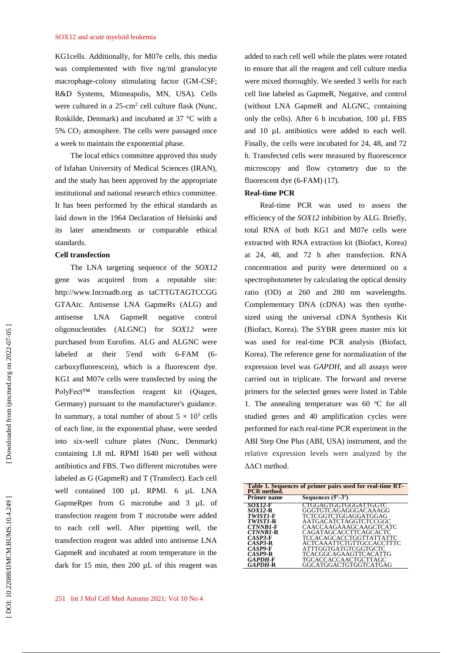KG1cells. Additionally, for M07e cells, this media was complemented with five ng/ml granulocyte macrophage -colony stimulating factor (GM -CSF; R&D Systems, Minneapolis, MN, USA). Cells were cultured in a  $25$ -cm<sup>2</sup> cell culture flask (Nunc, Roskilde, Denmark) and incubated at 37 °C with a 5% CO <sup>2</sup> atmosphere. The cells were passaged once a week to maintain the exponential phase.

The local ethics committee approved this study of Isfahan University of Medical Sciences (IRAN), and the study has been approved by the appropriate institutional and national research ethics committee. It has been performed by the ethical standards as laid down in the 1964 Declaration of Helsinki and its later amendments or comparable ethical standards.

#### **Cell transfection**

The LNA targeting sequence of the *SOX12* gene was acquired from a reputable site: http://www.Incrnadb.org as taCTTGTAGTCCGG GTAAtc. Antisense LNA GapmeRs (ALG) and antisense LNA GapmeR negative control oligonucleotides (ALGNC) for *SOX12* were purchased from Eurofins. ALG and ALGNC were labeled at their 5'end with 6-FAM (6carboxyfluorescein), which is a fluorescent dye. KG1 and M07e cells were transfected by using the PolyFect™ transfection reagent kit (Qiagen, Germany) pursuant to the manufacturer's guidance. In summary, a total number of about  $5 \times 10^5$  cells of each line, in the exponential phase, were seeded into six -well culture plates (Nunc, Denmark) containing 1.8 m L RPMI 1640 per well without antibiotics and FBS. Two different microtubes were labeled as G (GapmeR) and T (Transfect). Each cell well contained 100 µL RPMI. 6 µL LNA GapmeRper from G microtube and 3 µ L of transfection reagent from T microtube were added to each cell well. After pipetting well, the transfection reagent was added into antisense LNA GapmeR and incubated at room temperature in the dark for 15 min, then 200 µ L of this reagent was added to each cell well while the plates were rotated to ensure that all the reagent and cell culture media were mixed thoroughly. We seeded 3 wells for each cell line labeled as GapmeR, Negative, and control (without LNA GapmeR and ALGNC, containing only the cells). After 6 h incubation, 100 µ L FBS and 10 µ L antibiotics were added to each well. Finally, the cells were incubated for 24, 48, and 72 h. Transfected cells were measured by fluorescence microscopy and flow cytometry due to the fluorescent dye (6-FAM) (17).

## **Real -time PCR**

Real -time PCR was used to assess the efficiency of the *SOX12* inhibition by ALG. Briefly, total RNA of both KG1 and M07e cells were extracted with RNA extraction kit (Biofact, Korea) at 24, 48, and 72 h after transfection. RNA concentration and purity were determined on a spectrophotometer by calculating the optical density ratio (OD) at 260 and 280 nm wavelengths. Complementary DNA (cDNA) was then synthe sized using the universal cDNA Synthesis Kit (Biofact, Korea). The SYBR green master mix kit was used for real -time PCR analysis (Biofact, Korea). The reference gene for normalization of the expression level was *GAPDH,* and all assays were carried out in triplicate. The forward and reverse primers for the selected genes were listed in Table 1. The annealing temperature was 60  $^{\circ}$ C for all studied genes and 40 amplification cycles were performed for each real -time PCR experiment in the ABI Step One Plus (ABI, USA) instrument, and the relative expression levels were analyzed by the ΔΔCt method.

| Table 1. Sequences of primer pairs used for real-time RT-<br><b>PCR</b> method. |                          |
|---------------------------------------------------------------------------------|--------------------------|
| Primer name                                                                     | Sequences $(5'–3')$      |
| SOX12-F                                                                         | CTGGAGTGGTGGGATTGGTC     |
| <i>SOX12-R</i>                                                                  | GGGTGTCAGAGGGACAAAGG     |
| TWISTI-F                                                                        | TCTCGGTCTGGAGGATGGAG     |
| TWIST1-R                                                                        | AATGACATCTAGGTCTCCGGC    |
| <b>CTNNB1-F</b>                                                                 | CAACCAAGAAAGCAAGCTCATC   |
| CTNNB1-R                                                                        | CAGATAGCACCTTCAGCACTC    |
| $CASP3-F$                                                                       | TCCACAGCACCTGGTTATTATTC  |
| $CASP3-R$                                                                       | ACTCAAATTCTGTTGCCACCTTTC |
| $CASP9-F$                                                                       | ATTTGGTGATGTCGGTGCTC     |
| $CASP9-R$                                                                       | TCACGGCAGAAGTTCACATTG    |
| GAPDH-F                                                                         | TGCACCACCAACTGCTTAGC     |
| GAPDH-R                                                                         | GGCATGGACTGTGGTCATGAG    |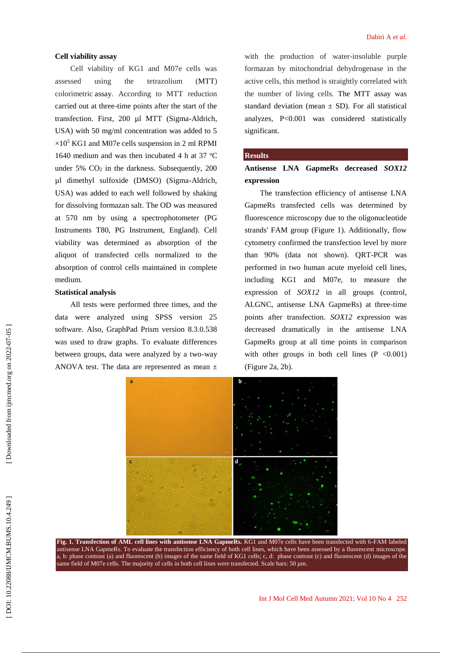### **Cell viability assay**

Cell viability of KG1 and M07e cells was assessed using the tetrazolium (MTT) colorimetric assay. According to MTT reduction carried out at three -time points after the start of the transfection. First, 200 µl MTT (Sigma -Aldrich, USA) with 50 mg/ml concentration was added to 5  $\times 10^5$  KG1 and M07e cells suspension in 2 ml RPMI 1640 medium and was then incubated 4 h at 37  $^{\circ}$ C under  $5\%$   $CO<sub>2</sub>$  in the darkness. Subsequently, 200 µl dimethyl sulfoxide (DMSO) (Sigma -Aldrich, USA) was added to each well followed by shaking for dissolving formazan salt. The OD was measured at 570 nm by using a spectrophotometer (PG Instruments T80, PG Instrument, England). Cell viability was determined as absorption of the aliquot of transfected cells normalized to the absorption of control cells maintained in complete medium.

## **Statistical analysis**

All tests were performed three times, and the data were analyzed using SPSS version 25 software. Also, GraphPad Prism version 8.3.0.538 was used to draw graphs. To evaluate differences between groups, data were analyzed by a two -way ANOVA test. The data are represented as mean  $\pm$ 

with the production of water -insoluble purple formazan by mitochondrial dehydrogenase in the active cells, this method is straightly correlated with the number of living cells. The MTT assay was standard deviation (mean  $\pm$  SD). For all statistical analyzes, P <0.001 was considered statistically significant.

### **Results**

**Antisense LNA GapmeRs decreased** *SOX12* **expression**

The transfection efficiency of antisense LNA GapmeRs transfected cells was determined by fluorescence microscopy due to the oligonucleotide strands' FAM group (Figure 1). Additionally, flow cytometry confirmed the transfection level by more than 90% (data not shown). QRT -PCR was performed in two human acute myeloid cell lines, including KG1 and M07e, to measure the expression of *SOX12* in all groups (control, ALGNC, antisense LNA GapmeRs) at three -time points after transfection. *SOX12* expression was decreased dramatically in the antisense LNA GapmeRs group at all time points in comparison with other groups in both cell lines  $(P \le 0.001)$ (Figure 2a, 2b).



**Fig. 1. Transfection of AML cell lines with antisense LNA GapmeRs.** KG1 and M07e cells have been transfected with 6-FAM labeled antisense LNA GapmeRs. To evaluate the transfection efficiency of both cell lines, which have been assessed by a fluorescent microscope. a, b: phase contrast (a) and fluorescent (b) images of the same field of KG1 cells; c, d: phase contrast (c) and fluorescent (d) images of the same field of M07e cells. The majority of cells in both cell lines were transfected. Scale bars: 50 µm.

.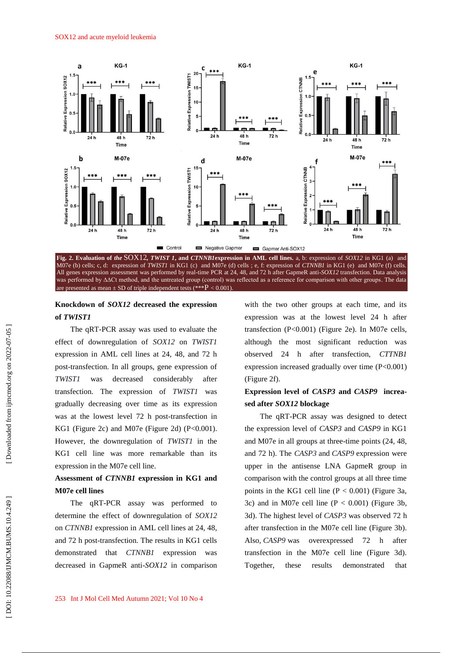

**Knockdown of** *SOX12* **decreased the expression** 

are presented as mean  $\pm$  SD of triple independent tests (\*\*\* $P < 0.001$ ).

## **of** *TWIST1*

The qRT -PCR assay was used to evaluate the effect of downregulation of *SOX12* on *TWIST1* expression in AML cell lines at 24, 48, and 72 h post -transfection. In all groups, gene expression of *TWIST1* was decreased considerably after transfection. The expression of *TWIST1* was gradually decreasing over time as its expression was at the lowest level 72 h post -transfection in KG1 (Figure 2c) and M07e (Figure 2d) ( P <0.001). However, the downregulation of *TWIST1* in the KG1 cell line was more remarkable than its expression in the M07e cell line.

# **Assessment of** *CTNNB1* **expression in KG1 and M07e cell lines**

The qRT -PCR assay was performed to determine the effect of downregulation of *SOX12* on *CTNNB1* expression in AML cell lines at 24, 48, and 72 h post -transfection. The results in KG1 cells demonstrated that *CTNNB1* expression was decreased in GapmeR anti -*SOX12* in comparison with the two other groups at each time, and its expression was at the lowest level 24 h after transfection ( P <0.001) (Figure 2e). In M07e cells, although the most significant reduction was observed 24 h after transfection, *CTTNB1*  expression increased gradually over time ( P<0.001) (Figure 2f).

# **Expression level of** *CASP3* **and** *CASP9* **increa sed after** *SOX12* **blockage**

The qRT -PCR assay was designed to detect the expression level of *CASP3* and *CASP9* in KG1 and M07e in all groups at three -time points (24, 48, and 72 h). The *CASP3* and *CASP9* expression were upper in the antisense LNA GapmeR group in comparison with the control groups at all three time points in the KG1 cell line  $(P < 0.001)$  (Figure 3a, 3c) and in M07e cell line  $(P < 0.001)$  (Figure 3b, 3d). The highest level of *CASP3* was observed 72 h after transfection in the M07e cell line (Figure 3b). Also, *CASP9* was overexpressed 72 h after transfection in the M07e cell line (Figure 3d). Together, these results demonstrated that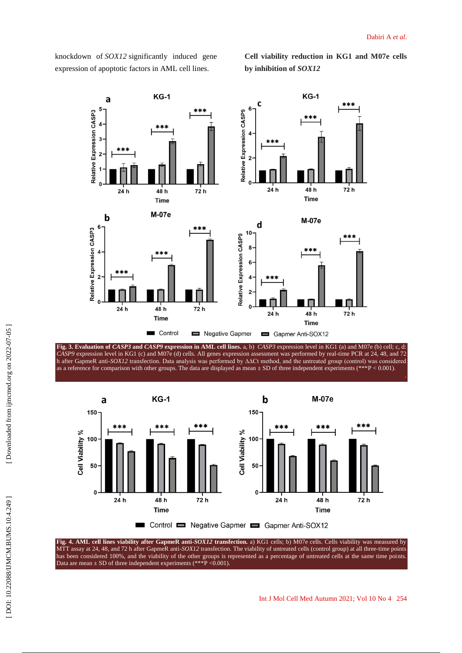knockdown of *SOX12* significantly induced gene expression of apoptotic factors in AML cell lines.

**Cell viability reduction in KG1 and M07e cells by inhibition of** *SOX12*



**Fig. 3. Evaluation of** *CASP3* **and** *CASP9* **expression in AML cell lines.** a, b ) *CASP3* expression level in KG1 (a) and M07e (b) cell; c, d: *CASP9* expression level in KG1 (c) and M07e (d) cells. All genes expression assessment was performed by real -time PCR at 24, 48, and 72 h after GapmeR anti -*SOX12* transfection. Data analysis was performed by ∆∆Ct method, and the untreated group (control) was considered as a reference for comparison with other groups. The data are displayed as mean  $\pm$  SD of three independent experiments (\*\*\*P < 0.001).



Fig. 4. AML cell lines viability after GapmeR anti-SOX12 transfection. a) KG1 cells; b) M07e cells. Cells viability was measured by MTT assay at 24, 48, and 72 h after GapmeR anti -*SOX12* transfection. The viability of untreated cells (control group) at all three -time points has been considered 100%, and the viability of the other groups is represented as a percentage of untreated cells at the same time points. Data are mean  $\pm$  SD of three independent experiments (\*\*\*P < 0.001).

.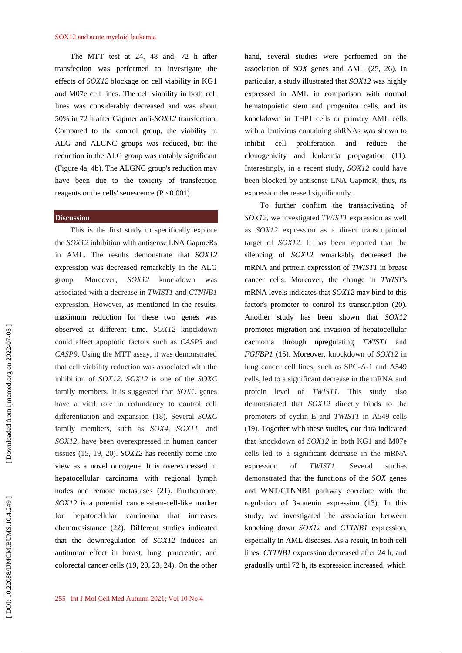The MTT test at 24, 48 and, 72 h after transfection was performed to investigate the effects of *SOX12* blockage on cell viability in KG1 and M07e cell lines. The cell viability in both cell lines was considerably decreased and was about 50% in 72 h after Gapmer anti -*SOX12* transfection. Compared to the control group, the viability in ALG and ALGNC groups was reduced, but the reduction in the ALG group was notably significant (Figure 4a, 4b). The ALGNC group's reduction may have been due to the toxicity of transfection reagents or the cells' senescence ( P <0.001).

### **Discussion**

This is the first study to specifically explore the *SOX12* inhibition with antisense LNA GapmeRs in AML. The results demonstrate that *SOX12*  expression was decreased remarkably in the ALG group. Moreover, *SOX12* knockdown was associated with a decrease in *TWIST1* and *CTNNB1* expression. However, as mentioned in the results, maximum reduction for these two genes was observed at different time. *SOX12* knockdown could affect apoptotic factors such as *CASP3* and *CASP9*. Using the MTT assay, it was demonstrated that cell viability reduction was associated with the inhibition of *SOX12*. *SOX12* is one of the *SOXC*  family members. It is suggested that *SOXC* genes have a vital role in redundancy to control cell differentiation and expansion (18). Several *SOXC* family members, such as *SOX4*, *SOX11*, and *SOX12*, have been overexpressed in human cancer tissues (15, 19, 20). *SOX12* has recently come into view as a novel oncogene. It is overexpressed in hepatocellular carcinoma with regional lymph nodes and remote metastases (21). Furthermore, SOX12 is a potential cancer-stem-cell-like marker for hepatocellular carcinoma that increases chemoresistance (22). Different studies indicated that the downregulation of *SOX12* induces an antitumor effect in breast, lung, pancreatic, and colorectal cancer cells (19, 20, 23, 24). On the other

hand, several studies were perfoemed on the association of *SOX* genes and AML (25, 26). In particular, a study illustrated that *SOX12* was highly expressed in AML in comparison with normal hematopoietic stem and progenitor cells, and its knockdown in THP1 cells or primary AML cells with a lentivirus containing shRNAs was shown to inhibit cell proliferation and reduce the clonogenicity and leukemia propagation (11). Interestingly, in a recent study, *SOX12* could have been blocked by antisense LNA GapmeR; thus, its expression decreased significantly.

To further confirm the transactivating of *SOX12*, we investigated *TWIST1* expression as well as *SOX12* expression as a direct transcriptional target of *SOX12*. It has been reported that the silencing of *SOX12* remarkably decreased the mRNA and protein expression of *TWIST1* in breast cancer cells. Moreover, the change in *TWIST*'s mRNA levels indicates that *SOX12* may bind to this factor's promoter to control its transcription (20). Another study has been shown that *SOX12* promotes migration and invasion of hepatocellular cacinoma through upregulating *TWIST1 FGFBP1* (15). Moreover, knockdown of *SOX12* in lung cancer cell lines, such as SPC-A-1 and A549 cells, led to a significant decrease in the mRNA and protein level of *TWIST1.* This study also demonstrated that *SOX12* directly binds to the promoters of cyclin E and *TWIST1* in A549 cells (19). Together with these studies, our data indicated that knockdown of *SOX12* in both KG1 and M07e cells led to a significant decrease in the mRNA expression of *TWIST1*. Several studies demonstrated that the functions of the *SOX* genes and WNT/CTNNB1 pathway correlate with the regulation of β -catenin expression (13). In this study, we investigated the association between knocking down *SOX12* and *CTTNB1* expression, especially in AML diseases. As a result, in both cell lines, *CTTNB1* expression decreased after 24 h, and gradually until 72 h, its expression increased, which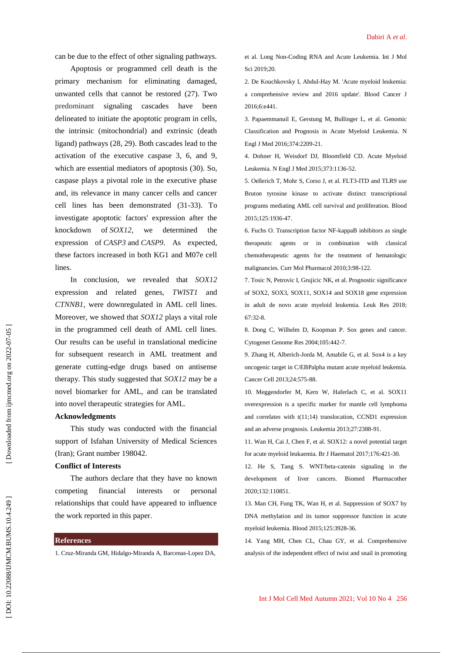can be due to the effect of other signaling pathways.

Apoptosis or programmed cell death is the primary mechanism for eliminating damaged, unwanted cells that cannot be restored (27). Two predominant signaling cascades have been delineated to initiate the apoptotic program in cells, the intrinsic (mitochondrial) and extrinsic (death ligand) pathways (28, 29). Both cascades lead to the activation of the executive caspase 3, 6, and 9, which are essential mediators of apoptosis (30). So, caspase plays a pivotal role in the executive phase and, its relevance in many cancer cells and cancer cell lines has been demonstrated (31 -33). To investigate apoptotic factors' expression after the knockdown of *SOX12*, we determined the expression of *CASP3* and *CASP 9* . As expected, these factors increased in both KG1 and M07e cell lines.

In conclusion, we revealed that *SOX12* expression and related genes, *TWIST1* and *CTNNB1*, were downregulated in AML cell lines. Moreover, we showed that *SOX12* plays a vital role in the programmed cell death of AML cell lines. Our results can be useful in translational medicine for subsequent research in AML treatment and generate cutting -edge drugs based on antisense therapy. This study suggested that *SOX12* may be a novel biomarker for AML, and can be translated into novel therapeutic strategies for AML.

#### **Acknowledgments**

This study was conducted with the financial support of Isfahan University of Medical Sciences (Iran); Grant number 198042.

#### **Conflict of Interests**

The authors declare that they have no known competing financial interests or personal relationships that could have appeared to influence the work reported in this paper.

## **References**

1. Cruz -Miranda GM, Hidalgo -Miranda A, Barcenas -Lopez DA,

et al. Long Non -Coding RNA and Acute Leukemia. Int J Mol Sci 2019;20.

2. De Kouchkovsky I, Abdul -Hay M. 'Acute myeloid leukemia: a comprehensive review and 2016 update'. Blood Cancer J 2016;6:e441.

3. Papaemmanuil E, Gerstung M, Bullinger L, et al. Genomic Classification and Prognosis in Acute Myeloid Leukemia. N Engl J Med 2016;374:2209 -21.

4. Dohner H, Weisdorf DJ, Bloomfield CD. Acute Myeloid Leukemia. N Engl J Med 2015;373:1136 -52.

5. Oellerich T, Mohr S, Corso J, et al. FLT3 -ITD and TLR9 use Bruton tyrosine kinase to activate distinct transcriptional programs mediating AML cell survival and proliferation. Blood 2015;125:1936 -47.

6. Fuchs O. Transcription factor NF -kappaB inhibitors as single therapeutic agents or in combination with classical chemotherapeutic agents for the treatment of hematologic malignancies. Curr Mol Pharmacol 2010;3:98 -122.

7. Tosic N, Petrovic I, Grujicic NK, et al. Prognostic significance of SOX2, SOX3, SOX11, SOX14 and SOX18 gene expression in adult de novo acute myeloid leukemia. Leuk Res 2018; 67:32 -8.

8. Dong C, Wilhelm D, Koopman P. Sox genes and cancer. Cytogenet Genome Res 2004;105:442 -7.

9. Zhang H, Alberich -Jorda M, Amabile G, et al. Sox4 is a key oncogenic target in C/EBPalpha mutant acute myeloid leukemia. Cancer Cell 2013;24:575 -88.

10. Meggendorfer M, Kern W, Haferlach C, et al. SOX11 overexpression is a specific marker for mantle cell lymphoma and correlates with t(11;14) translocation, CCND1 expression and an adverse prognosis. Leukemia 2013;27:2388 -91.

11. Wan H, Cai J, Chen F, et al. SOX12: a novel potential target for acute myeloid leukaemia. Br J Haematol 2017;176:421 -30.

12. He S, Tang S. WNT/beta -catenin signaling in the development of liver cancers. Biomed Pharmacother 2020;132:110851.

13. Man CH, Fung TK, Wan H, et al. Suppression of SOX7 by DNA methylation and its tumor suppressor function in acute myeloid leukemia. Blood 2015;125:3928 -36.

14. Yang MH, Chen CL, Chau GY, et al. Comprehensive analysis of the independent effect of twist and snail in promoting